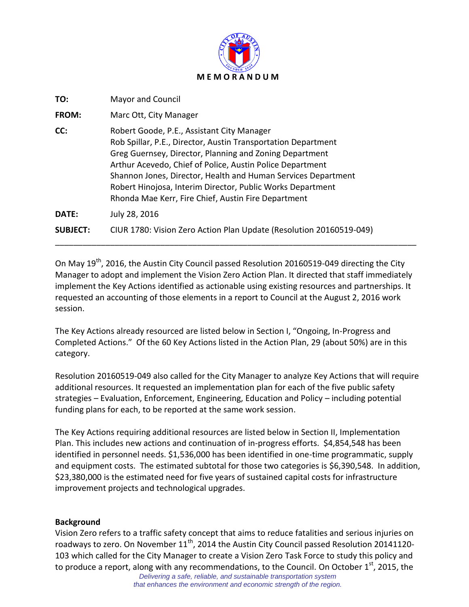

**TO:** Mayor and Council **FROM:** Marc Ott, City Manager **CC:** Robert Goode, P.E., Assistant City Manager Rob Spillar, P.E., Director, Austin Transportation Department Greg Guernsey, Director, Planning and Zoning Department Arthur Acevedo, Chief of Police, Austin Police Department Shannon Jones, Director, Health and Human Services Department Robert Hinojosa, Interim Director, Public Works Department Rhonda Mae Kerr, Fire Chief, Austin Fire Department **DATE:** July 28, 2016 **SUBJECT:** CIUR 1780: Vision Zero Action Plan Update (Resolution 20160519-049) \_\_\_\_\_\_\_\_\_\_\_\_\_\_\_\_\_\_\_\_\_\_\_\_\_\_\_\_\_\_\_\_\_\_\_\_\_\_\_\_\_\_\_\_\_\_\_\_\_\_\_\_\_\_\_\_\_\_\_\_\_\_\_\_\_\_\_\_\_\_\_\_\_\_\_\_\_\_\_

On May  $19<sup>th</sup>$ , 2016, the Austin City Council passed Resolution 20160519-049 directing the City Manager to adopt and implement the Vision Zero Action Plan. It directed that staff immediately implement the Key Actions identified as actionable using existing resources and partnerships. It requested an accounting of those elements in a report to Council at the August 2, 2016 work session.

The Key Actions already resourced are listed below in Section I, "Ongoing, In-Progress and Completed Actions." Of the 60 Key Actions listed in the Action Plan, 29 (about 50%) are in this category.

Resolution 20160519-049 also called for the City Manager to analyze Key Actions that will require additional resources. It requested an implementation plan for each of the five public safety strategies – Evaluation, Enforcement, Engineering, Education and Policy – including potential funding plans for each, to be reported at the same work session.

The Key Actions requiring additional resources are listed below in Section II, Implementation Plan. This includes new actions and continuation of in-progress efforts. \$4,854,548 has been identified in personnel needs. \$1,536,000 has been identified in one-time programmatic, supply and equipment costs. The estimated subtotal for those two categories is \$6,390,548. In addition, \$23,380,000 is the estimated need for five years of sustained capital costs for infrastructure improvement projects and technological upgrades.

#### **Background**

Vision Zero refers to a traffic safety concept that aims to reduce fatalities and serious injuries on roadways to zero. On November  $11<sup>th</sup>$ , 2014 the Austin City Council passed Resolution 20141120-103 which called for the City Manager to create a Vision Zero Task Force to study this policy and to produce a report, along with any recommendations, to the Council. On October  $1^{st}$ . 2015. the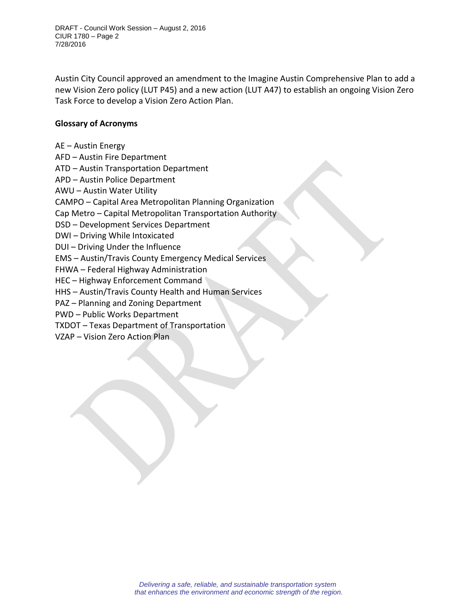DRAFT - Council Work Session – August 2, 2016 CIUR 1780 – Page 2 7/28/2016

Austin City Council approved an amendment to the Imagine Austin Comprehensive Plan to add a new Vision Zero policy (LUT P45) and a new action (LUT A47) to establish an ongoing Vision Zero Task Force to develop a Vision Zero Action Plan.

#### **Glossary of Acronyms**

- AE Austin Energy
- AFD Austin Fire Department
- ATD Austin Transportation Department
- APD Austin Police Department
- AWU Austin Water Utility
- CAMPO Capital Area Metropolitan Planning Organization
- Cap Metro Capital Metropolitan Transportation Authority
- DSD Development Services Department
- DWI Driving While Intoxicated
- DUI Driving Under the Influence
- EMS Austin/Travis County Emergency Medical Services
- FHWA Federal Highway Administration
- HEC Highway Enforcement Command
- HHS Austin/Travis County Health and Human Services
- PAZ Planning and Zoning Department
- PWD Public Works Department
- TXDOT Texas Department of Transportation
- VZAP Vision Zero Action Plan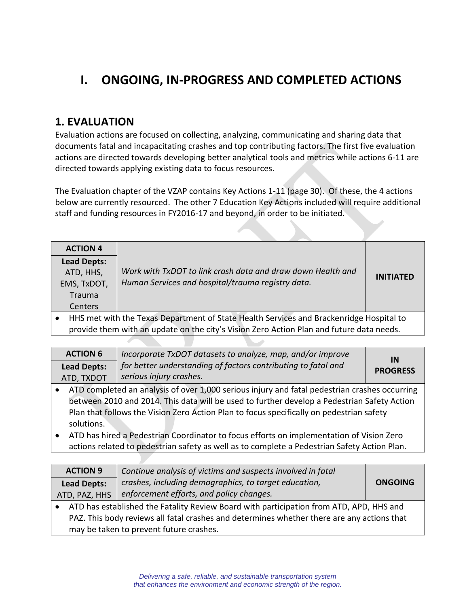# **I. ONGOING, IN-PROGRESS AND COMPLETED ACTIONS**

### **1. EVALUATION**

Evaluation actions are focused on collecting, analyzing, communicating and sharing data that documents fatal and incapacitating crashes and top contributing factors. The first five evaluation actions are directed towards developing better analytical tools and metrics while actions 6-11 are directed towards applying existing data to focus resources.

The Evaluation chapter of the VZAP contains Key Actions 1-11 (page 30). Of these, the 4 actions below are currently resourced. The other 7 Education Key Actions included will require additional staff and funding resources in FY2016-17 and beyond, in order to be initiated.

| <b>ACTION 4</b>                                                                         |                                                                                          |                  |  |
|-----------------------------------------------------------------------------------------|------------------------------------------------------------------------------------------|------------------|--|
| <b>Lead Depts:</b>                                                                      |                                                                                          |                  |  |
| ATD, HHS,                                                                               | Work with TxDOT to link crash data and draw down Health and                              | <b>INITIATED</b> |  |
| EMS, TxDOT,                                                                             | Human Services and hospital/trauma registry data.                                        |                  |  |
| Trauma                                                                                  |                                                                                          |                  |  |
| Centers                                                                                 |                                                                                          |                  |  |
| HHS met with the Texas Department of State Health Services and Brackenridge Hospital to |                                                                                          |                  |  |
|                                                                                         | provide them with an update on the city's Vision Zero Action Plan and future data needs. |                  |  |

| <b>ACTION 6</b>                                                                                                                                                                                                                                        | Incorporate TxDOT datasets to analyze, map, and/or improve    | IN              |
|--------------------------------------------------------------------------------------------------------------------------------------------------------------------------------------------------------------------------------------------------------|---------------------------------------------------------------|-----------------|
| <b>Lead Depts:</b>                                                                                                                                                                                                                                     | for better understanding of factors contributing to fatal and | <b>PROGRESS</b> |
| ATD, TXDOT                                                                                                                                                                                                                                             | serious injury crashes.                                       |                 |
| $\lambda$ The definition of the start of the start $\lambda$ and $\lambda$ and $\lambda$ and $\lambda$ are defined to the start of the start of the start of the start of the start of the start of the start of the start of the start of the start o |                                                               |                 |

- ATD completed an analysis of over 1,000 serious injury and fatal pedestrian crashes occurring between 2010 and 2014. This data will be used to further develop a Pedestrian Safety Action Plan that follows the Vision Zero Action Plan to focus specifically on pedestrian safety solutions.
- ATD has hired a Pedestrian Coordinator to focus efforts on implementation of Vision Zero actions related to pedestrian safety as well as to complete a Pedestrian Safety Action Plan.

| <b>ACTION 9</b>                                                                            | Continue analysis of victims and suspects involved in fatal                             |                |  |
|--------------------------------------------------------------------------------------------|-----------------------------------------------------------------------------------------|----------------|--|
| <b>Lead Depts:</b>                                                                         | crashes, including demographics, to target education,                                   | <b>ONGOING</b> |  |
| ATD, PAZ, HHS                                                                              | enforcement efforts, and policy changes.                                                |                |  |
|                                                                                            | ATD has established the Fatality Review Board with participation from ATD, APD, HHS and |                |  |
| PAZ. This body reviews all fatal crashes and determines whether there are any actions that |                                                                                         |                |  |
| may be taken to prevent future crashes.                                                    |                                                                                         |                |  |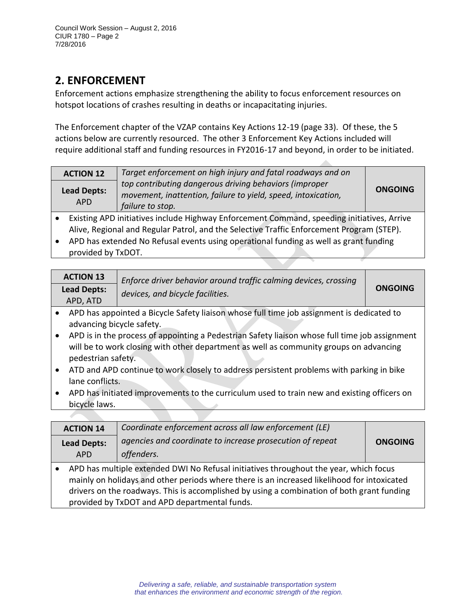## **2. ENFORCEMENT**

Enforcement actions emphasize strengthening the ability to focus enforcement resources on hotspot locations of crashes resulting in deaths or incapacitating injuries.

The Enforcement chapter of the VZAP contains Key Actions 12-19 (page 33). Of these, the 5 actions below are currently resourced. The other 3 Enforcement Key Actions included will require additional staff and funding resources in FY2016-17 and beyond, in order to be initiated.

| <b>ACTION 12</b>           | Target enforcement on high injury and fatal roadways and on                                                                                 |                |
|----------------------------|---------------------------------------------------------------------------------------------------------------------------------------------|----------------|
| <b>Lead Depts:</b><br>APD. | top contributing dangerous driving behaviors (improper<br>movement, inattention, failure to yield, speed, intoxication,<br>failure to stop. | <b>ONGOING</b> |
|                            | _ __                                                                                                                                        |                |

- Existing APD initiatives include Highway Enforcement Command, speeding initiatives, Arrive Alive, Regional and Regular Patrol, and the Selective Traffic Enforcement Program (STEP).
- APD has extended No Refusal events using operational funding as well as grant funding provided by TxDOT.

| <b>ACTION 13</b>               | Enforce driver behavior around traffic calming devices, crossing |                |
|--------------------------------|------------------------------------------------------------------|----------------|
| <b>Lead Depts:</b><br>APD, ATD | devices, and bicycle facilities.                                 | <b>ONGOING</b> |
|                                |                                                                  |                |

- APD has appointed a Bicycle Safety liaison whose full time job assignment is dedicated to advancing bicycle safety.
- APD is in the process of appointing a Pedestrian Safety liaison whose full time job assignment will be to work closing with other department as well as community groups on advancing pedestrian safety.
- ATD and APD continue to work closely to address persistent problems with parking in bike lane conflicts.
- APD has initiated improvements to the curriculum used to train new and existing officers on bicycle laws.

| <b>ACTION 14</b>                                                                            | Coordinate enforcement across all law enforcement (LE)    |                |
|---------------------------------------------------------------------------------------------|-----------------------------------------------------------|----------------|
| <b>Lead Depts:</b>                                                                          | agencies and coordinate to increase prosecution of repeat | <b>ONGOING</b> |
| <b>APD</b>                                                                                  | offenders.                                                |                |
| APD has multiple extended DWI No Refusal initiatives throughout the year, which focus       |                                                           |                |
| mainly on holidays and other periods where there is an increased likelihood for intoxicated |                                                           |                |
| drivers on the roadways. This is accomplished by using a combination of both grant funding  |                                                           |                |
| provided by TxDOT and APD departmental funds.                                               |                                                           |                |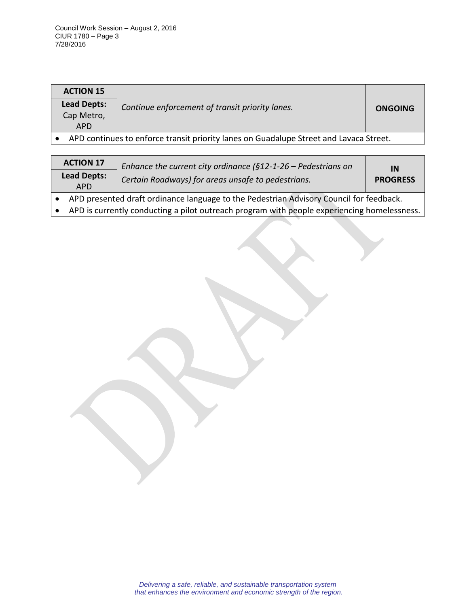| <b>ACTION 15</b>                               |                                                                                        |                |
|------------------------------------------------|----------------------------------------------------------------------------------------|----------------|
| <b>Lead Depts:</b><br>Cap Metro,<br><b>APD</b> | Continue enforcement of transit priority lanes.                                        | <b>ONGOING</b> |
|                                                | APD continues to enforce transit priority lanes on Guadalupe Street and Lavaca Street. |                |

| <b>ACTION 17</b>                                                                            | Enhance the current city ordinance ( $$12-1-26$ – Pedestrians on                        | <b>IN</b>       |
|---------------------------------------------------------------------------------------------|-----------------------------------------------------------------------------------------|-----------------|
| <b>Lead Depts:</b>                                                                          | Certain Roadways) for areas unsafe to pedestrians.                                      | <b>PROGRESS</b> |
| APD.                                                                                        |                                                                                         |                 |
|                                                                                             | APD presented draft ordinance language to the Pedestrian Advisory Council for feedback. |                 |
| APD is currently conducting a pilot outreach program with people experiencing homelessness. |                                                                                         |                 |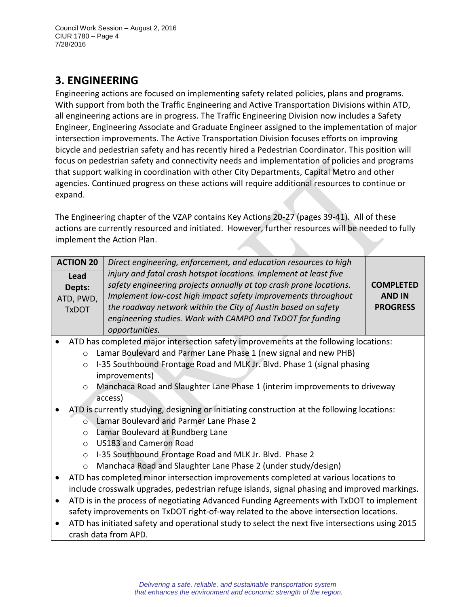## **3. ENGINEERING**

Engineering actions are focused on implementing safety related policies, plans and programs. With support from both the Traffic Engineering and Active Transportation Divisions within ATD, all engineering actions are in progress. The Traffic Engineering Division now includes a Safety Engineer, Engineering Associate and Graduate Engineer assigned to the implementation of major intersection improvements. The Active Transportation Division focuses efforts on improving bicycle and pedestrian safety and has recently hired a Pedestrian Coordinator. This position will focus on pedestrian safety and connectivity needs and implementation of policies and programs that support walking in coordination with other City Departments, Capital Metro and other agencies. Continued progress on these actions will require additional resources to continue or expand.

The Engineering chapter of the VZAP contains Key Actions 20-27 (pages 39-41). All of these actions are currently resourced and initiated. However, further resources will be needed to fully implement the Action Plan.

| <b>ACTION 20</b> | Direct engineering, enforcement, and education resources to high                                |                  |  |
|------------------|-------------------------------------------------------------------------------------------------|------------------|--|
| Lead             | injury and fatal crash hotspot locations. Implement at least five                               |                  |  |
| Depts:           | safety engineering projects annually at top crash prone locations.                              | <b>COMPLETED</b> |  |
| ATD, PWD,        | Implement low-cost high impact safety improvements throughout                                   | <b>AND IN</b>    |  |
| <b>TxDOT</b>     | the roadway network within the City of Austin based on safety                                   | <b>PROGRESS</b>  |  |
|                  | engineering studies. Work with CAMPO and TxDOT for funding                                      |                  |  |
|                  | opportunities.                                                                                  |                  |  |
|                  | ATD has completed major intersection safety improvements at the following locations:            |                  |  |
| $\circ$          | Lamar Boulevard and Parmer Lane Phase 1 (new signal and new PHB)                                |                  |  |
| $\circ$          | I-35 Southbound Frontage Road and MLK Jr. Blvd. Phase 1 (signal phasing                         |                  |  |
|                  | improvements)                                                                                   |                  |  |
| $\circ$          | Manchaca Road and Slaughter Lane Phase 1 (interim improvements to driveway                      |                  |  |
|                  | access)                                                                                         |                  |  |
|                  | ATD is currently studying, designing or initiating construction at the following locations:     |                  |  |
| $\circ$          | Lamar Boulevard and Parmer Lane Phase 2                                                         |                  |  |
| $\circ$          | Lamar Boulevard at Rundberg Lane                                                                |                  |  |
| $\circ$          | US183 and Cameron Road                                                                          |                  |  |
| $\circ$          | I-35 Southbound Frontage Road and MLK Jr. Blvd. Phase 2                                         |                  |  |
| $\circ$          | Manchaca Road and Slaughter Lane Phase 2 (under study/design)                                   |                  |  |
|                  | ATD has completed minor intersection improvements completed at various locations to             |                  |  |
|                  | include crosswalk upgrades, pedestrian refuge islands, signal phasing and improved markings.    |                  |  |
| $\bullet$        | ATD is in the process of negotiating Advanced Funding Agreements with TxDOT to implement        |                  |  |
|                  | safety improvements on TxDOT right-of-way related to the above intersection locations.          |                  |  |
|                  | ATD has initiated safety and operational study to select the next five intersections using 2015 |                  |  |

crash data from APD.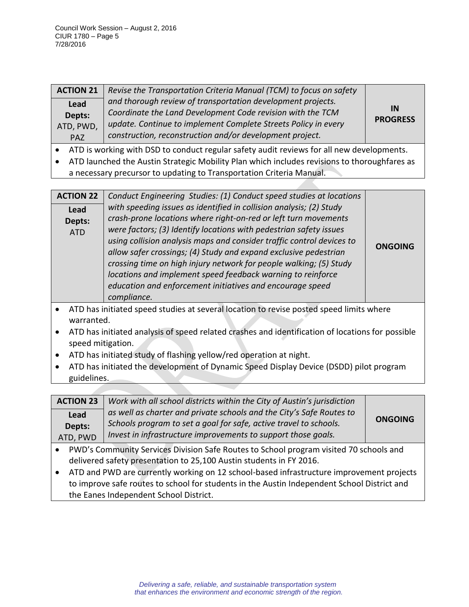| <b>ACTION 21</b>                                 | Revise the Transportation Criteria Manual (TCM) to focus on safety                                                                                                                                                                                      |                              |
|--------------------------------------------------|---------------------------------------------------------------------------------------------------------------------------------------------------------------------------------------------------------------------------------------------------------|------------------------------|
| <b>Lead</b><br>Depts:<br>ATD, PWD,<br><b>PAZ</b> | and thorough review of transportation development projects.<br>Coordinate the Land Development Code revision with the TCM<br>update. Continue to implement Complete Streets Policy in every<br>construction, reconstruction and/or development project. | <b>IN</b><br><b>PROGRESS</b> |
|                                                  |                                                                                                                                                                                                                                                         |                              |

ATD is working with DSD to conduct regular safety audit reviews for all new developments.

ATD launched the Austin Strategic Mobility Plan which includes revisions to thoroughfares as

a necessary precursor to updating to Transportation Criteria Manual.

| <b>ACTION 22</b>             | Conduct Engineering Studies: (1) Conduct speed studies at locations                                                                                                                                                                                                                                                                                                                                                                                                                                                                                                        |                |  |
|------------------------------|----------------------------------------------------------------------------------------------------------------------------------------------------------------------------------------------------------------------------------------------------------------------------------------------------------------------------------------------------------------------------------------------------------------------------------------------------------------------------------------------------------------------------------------------------------------------------|----------------|--|
| Lead<br>Depts:<br><b>ATD</b> | with speeding issues as identified in collision analysis; (2) Study<br>crash-prone locations where right-on-red or left turn movements<br>were factors; (3) Identify locations with pedestrian safety issues<br>using collision analysis maps and consider traffic control devices to<br>allow safer crossings; (4) Study and expand exclusive pedestrian<br>crossing time on high injury network for people walking; (5) Study<br>locations and implement speed feedback warning to reinforce<br>education and enforcement initiatives and encourage speed<br>compliance. | <b>ONGOING</b> |  |
|                              |                                                                                                                                                                                                                                                                                                                                                                                                                                                                                                                                                                            |                |  |
| warranted.                   | ATD has initiated speed studies at several location to revise posted speed limits where                                                                                                                                                                                                                                                                                                                                                                                                                                                                                    |                |  |
| speed mitigation.            | ATD has initiated analysis of speed related crashes and identification of locations for possible                                                                                                                                                                                                                                                                                                                                                                                                                                                                           |                |  |
|                              |                                                                                                                                                                                                                                                                                                                                                                                                                                                                                                                                                                            |                |  |
|                              | ATD has initiated study of flashing yellow/red operation at night.                                                                                                                                                                                                                                                                                                                                                                                                                                                                                                         |                |  |

 ATD has initiated the development of Dynamic Speed Display Device (DSDD) pilot program guidelines.

| <b>ACTION 23</b> | Work with all school districts within the City of Austin's jurisdiction |                |
|------------------|-------------------------------------------------------------------------|----------------|
| <b>Lead</b>      | as well as charter and private schools and the City's Safe Routes to    | <b>ONGOING</b> |
| Depts:           | Schools program to set a goal for safe, active travel to schools.       |                |
| ATD, PWD         | Invest in infrastructure improvements to support those goals.           |                |
|                  |                                                                         |                |

- PWD's Community Services Division Safe Routes to School program visited 70 schools and delivered safety presentation to 25,100 Austin students in FY 2016.
- ATD and PWD are currently working on 12 school-based infrastructure improvement projects to improve safe routes to school for students in the Austin Independent School District and the Eanes Independent School District.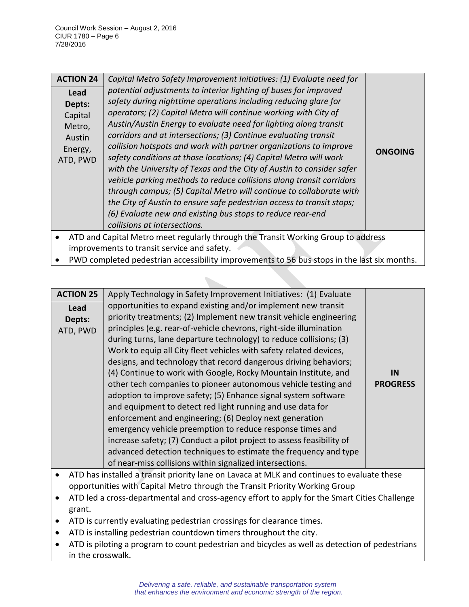| <b>ACTION 24</b><br>Lead<br>Depts:<br>Capital<br>Metro,<br>Austin<br>Energy,<br>ATD, PWD                                         | Capital Metro Safety Improvement Initiatives: (1) Evaluate need for<br>potential adjustments to interior lighting of buses for improved<br>safety during nighttime operations including reducing glare for<br>operators; (2) Capital Metro will continue working with City of<br>Austin/Austin Energy to evaluate need for lighting along transit<br>corridors and at intersections; (3) Continue evaluating transit<br>collision hotspots and work with partner organizations to improve<br>safety conditions at those locations; (4) Capital Metro will work<br>with the University of Texas and the City of Austin to consider safer<br>vehicle parking methods to reduce collisions along transit corridors<br>through campus; (5) Capital Metro will continue to collaborate with<br>the City of Austin to ensure safe pedestrian access to transit stops;<br>(6) Evaluate new and existing bus stops to reduce rear-end | <b>ONGOING</b> |
|----------------------------------------------------------------------------------------------------------------------------------|-------------------------------------------------------------------------------------------------------------------------------------------------------------------------------------------------------------------------------------------------------------------------------------------------------------------------------------------------------------------------------------------------------------------------------------------------------------------------------------------------------------------------------------------------------------------------------------------------------------------------------------------------------------------------------------------------------------------------------------------------------------------------------------------------------------------------------------------------------------------------------------------------------------------------------|----------------|
|                                                                                                                                  | collisions at intersections.                                                                                                                                                                                                                                                                                                                                                                                                                                                                                                                                                                                                                                                                                                                                                                                                                                                                                                  |                |
| ATD and Capital Metro meet regularly through the Transit Working Group to address<br>improvements to transit service and safety. |                                                                                                                                                                                                                                                                                                                                                                                                                                                                                                                                                                                                                                                                                                                                                                                                                                                                                                                               |                |

PWD completed pedestrian accessibility improvements to 56 bus stops in the last six months.

| <b>ACTION 25</b> | Apply Technology in Safety Improvement Initiatives: (1) Evaluate                           |                 |
|------------------|--------------------------------------------------------------------------------------------|-----------------|
| Lead             | opportunities to expand existing and/or implement new transit                              |                 |
| Depts:           | priority treatments; (2) Implement new transit vehicle engineering                         |                 |
| ATD, PWD         | principles (e.g. rear-of-vehicle chevrons, right-side illumination                         |                 |
|                  | during turns, lane departure technology) to reduce collisions; (3)                         |                 |
|                  | Work to equip all City fleet vehicles with safety related devices,                         |                 |
|                  | designs, and technology that record dangerous driving behaviors;                           |                 |
|                  | (4) Continue to work with Google, Rocky Mountain Institute, and                            | IN              |
|                  | other tech companies to pioneer autonomous vehicle testing and                             | <b>PROGRESS</b> |
|                  | adoption to improve safety; (5) Enhance signal system software                             |                 |
|                  | and equipment to detect red light running and use data for                                 |                 |
|                  | enforcement and engineering; (6) Deploy next generation                                    |                 |
|                  | emergency vehicle preemption to reduce response times and                                  |                 |
|                  | increase safety; (7) Conduct a pilot project to assess feasibility of                      |                 |
|                  | advanced detection techniques to estimate the frequency and type                           |                 |
|                  | of near-miss collisions within signalized intersections.                                   |                 |
|                  | ATD has installed a transit priority lane on Layaca at MLK and continues to evaluate these |                 |

- ATD has installed a transit priority lane on Lavaca at MLK and continues to evaluate these opportunities with Capital Metro through the Transit Priority Working Group
- ATD led a cross-departmental and cross-agency effort to apply for the Smart Cities Challenge grant.
- ATD is currently evaluating pedestrian crossings for clearance times.
- ATD is installing pedestrian countdown timers throughout the city.
- ATD is piloting a program to count pedestrian and bicycles as well as detection of pedestrians in the crosswalk.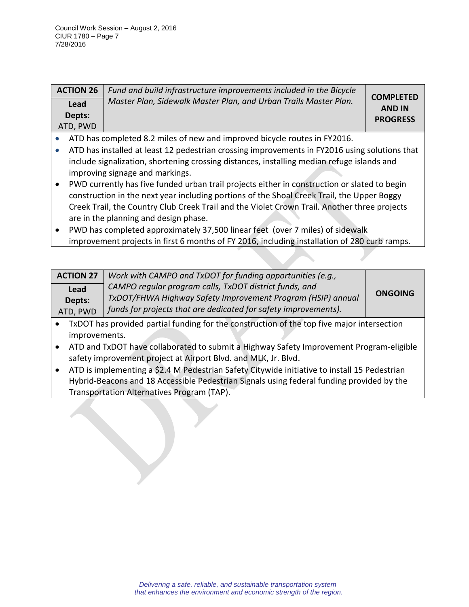| <b>ACTION 26</b><br>Lead<br>Depts:<br>ATD, PWD | Fund and build infrastructure improvements included in the Bicycle<br>Master Plan, Sidewalk Master Plan, and Urban Trails Master Plan. | <b>COMPLETED</b><br><b>AND IN</b><br><b>PROGRESS</b> |
|------------------------------------------------|----------------------------------------------------------------------------------------------------------------------------------------|------------------------------------------------------|
|                                                | ATD has completed 8.2 miles of new and improved bicycle routes in FY2016.                                                              |                                                      |

- ATD has installed at least 12 pedestrian crossing improvements in FY2016 using solutions that include signalization, shortening crossing distances, installing median refuge islands and improving signage and markings.
- PWD currently has five funded urban trail projects either in construction or slated to begin construction in the next year including portions of the Shoal Creek Trail, the Upper Boggy Creek Trail, the Country Club Creek Trail and the Violet Crown Trail. Another three projects are in the planning and design phase.
- PWD has completed approximately 37,500 linear feet (over 7 miles) of sidewalk improvement projects in first 6 months of FY 2016, including installation of 280 curb ramps.

| <b>ACTION 27</b>                  | Work with CAMPO and TxDOT for funding opportunities (e.g.,                                                                                                                               |                |
|-----------------------------------|------------------------------------------------------------------------------------------------------------------------------------------------------------------------------------------|----------------|
| <b>Lead</b><br>Depts:<br>ATD, PWD | CAMPO regular program calls, TxDOT district funds, and<br>TxDOT/FHWA Highway Safety Improvement Program (HSIP) annual<br>funds for projects that are dedicated for safety improvements). | <b>ONGOING</b> |
|                                   |                                                                                                                                                                                          |                |

- TxDOT has provided partial funding for the construction of the top five major intersection improvements.
- ATD and TxDOT have collaborated to submit a Highway Safety Improvement Program-eligible safety improvement project at Airport Blvd. and MLK, Jr. Blvd.
- ATD is implementing a \$2.4 M Pedestrian Safety Citywide initiative to install 15 Pedestrian Hybrid-Beacons and 18 Accessible Pedestrian Signals using federal funding provided by the Transportation Alternatives Program (TAP).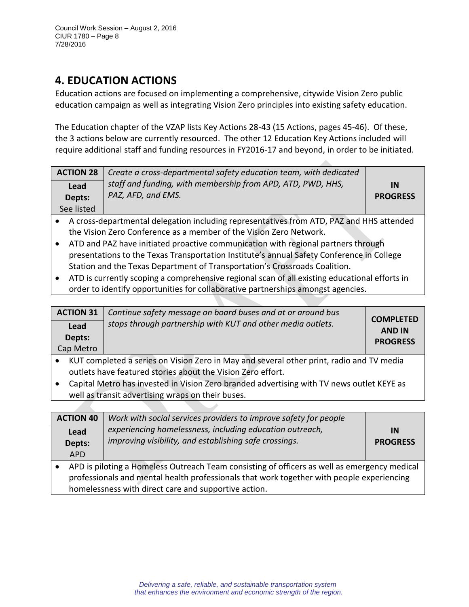### **4. EDUCATION ACTIONS**

Education actions are focused on implementing a comprehensive, citywide Vision Zero public education campaign as well as integrating Vision Zero principles into existing safety education.

The Education chapter of the VZAP lists Key Actions 28-43 (15 Actions, pages 45-46). Of these, the 3 actions below are currently resourced. The other 12 Education Key Actions included will require additional staff and funding resources in FY2016-17 and beyond, in order to be initiated.

| <b>ACTION 28</b>                                                                            | Create a cross-departmental safety education team, with dedicated |                 |
|---------------------------------------------------------------------------------------------|-------------------------------------------------------------------|-----------------|
| <b>Lead</b>                                                                                 | staff and funding, with membership from APD, ATD, PWD, HHS,       | IN              |
| Depts:                                                                                      | PAZ, AFD, and EMS.                                                | <b>PROGRESS</b> |
| See listed                                                                                  |                                                                   |                 |
| hebrette 2HH bre 749 DTA montation including representatives from ATD PAT and HHS attended. |                                                                   |                 |

**Allen** 

- A cross-departmental delegation including representatives from ATD, PAZ and HHS attended the Vision Zero Conference as a member of the Vision Zero Network.
- ATD and PAZ have initiated proactive communication with regional partners through presentations to the Texas Transportation Institute's annual Safety Conference in College Station and the Texas Department of Transportation's Crossroads Coalition.
- ATD is currently scoping a comprehensive regional scan of all existing educational efforts in order to identify opportunities for collaborative partnerships amongst agencies.

| <b>ACTION 31</b> | Continue safety message on board buses and at or around bus                               | <b>COMPLETED</b> |
|------------------|-------------------------------------------------------------------------------------------|------------------|
| Lead             | stops through partnership with KUT and other media outlets.                               | <b>AND IN</b>    |
| Depts:           |                                                                                           | <b>PROGRESS</b>  |
| Cap Metro        |                                                                                           |                  |
|                  | KUT completed a series on Vision Zero in May and several other print, radio and TV media  |                  |
|                  | outlets have featured stories about the Vision Zero effort.                               |                  |
|                  | conital Matro has invested in Vicion Zero hranded advertising with TV news outlet KEVE as |                  |

 Capital Metro has invested in Vision Zero branded advertising with TV news outlet KEYE as well as transit advertising wraps on their buses.

| <b>ACTION 40</b> | Work with social services providers to improve safety for people                             |                 |
|------------------|----------------------------------------------------------------------------------------------|-----------------|
| Lead             | experiencing homelessness, including education outreach,                                     | IN              |
| Depts:           | improving visibility, and establishing safe crossings.                                       | <b>PROGRESS</b> |
| <b>APD</b>       |                                                                                              |                 |
|                  | APD is piloting a Homeless Outreach Team consisting of officers as well as emergency medical |                 |
|                  | professionals and mental health professionals that work together with people experiencing    |                 |
|                  | homelessness with direct care and supportive action.                                         |                 |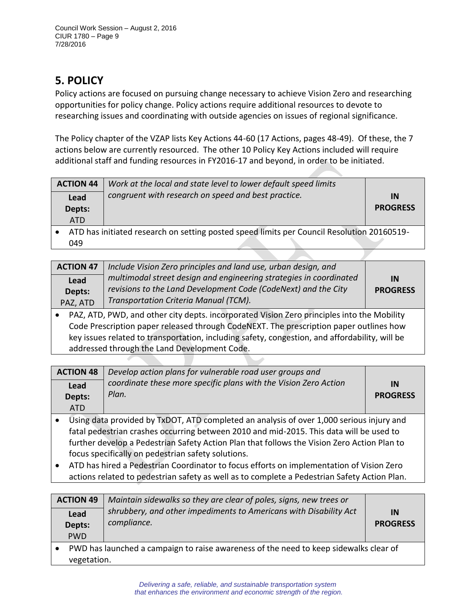## **5. POLICY**

Policy actions are focused on pursuing change necessary to achieve Vision Zero and researching opportunities for policy change. Policy actions require additional resources to devote to researching issues and coordinating with outside agencies on issues of regional significance.

The Policy chapter of the VZAP lists Key Actions 44-60 (17 Actions, pages 48-49). Of these, the 7 actions below are currently resourced. The other 10 Policy Key Actions included will require additional staff and funding resources in FY2016-17 and beyond, in order to be initiated.

| <b>ACTION 44</b> | Work at the local and state level to lower default speed limits                            |                 |
|------------------|--------------------------------------------------------------------------------------------|-----------------|
| Lead             | congruent with research on speed and best practice.                                        | IN              |
| Depts:           |                                                                                            | <b>PROGRESS</b> |
| <b>ATD</b>       |                                                                                            |                 |
|                  | ATD has initiated research on setting posted speed limits per Council Resolution 20160519- |                 |
| 049              |                                                                                            |                 |

| <b>ACTION 47</b>                                                                               | Include Vision Zero principles and land use, urban design, and     |                 |
|------------------------------------------------------------------------------------------------|--------------------------------------------------------------------|-----------------|
| Lead                                                                                           | multimodal street design and engineering strategies in coordinated | IN              |
| Depts:                                                                                         | revisions to the Land Development Code (CodeNext) and the City     | <b>PROGRESS</b> |
| PAZ, ATD                                                                                       | Transportation Criteria Manual (TCM).                              |                 |
| PAZ, ATD, PWD, and other city depts. incorporated Vision Zero principles into the Mobility     |                                                                    |                 |
| Code Prescription paper released through CodeNEXT. The prescription paper outlines how         |                                                                    |                 |
| key issues related to transportation, including safety, congestion, and affordability, will be |                                                                    |                 |
| addressed through the Land Development Code.                                                   |                                                                    |                 |

| <b>ACTION 48</b> | Develop action plans for vulnerable road user groups and                                                           |                 |
|------------------|--------------------------------------------------------------------------------------------------------------------|-----------------|
| Lead             | coordinate these more specific plans with the Vision Zero Action                                                   | IN              |
| Depts:           | Plan.                                                                                                              | <b>PROGRESS</b> |
| <b>ATD</b>       |                                                                                                                    |                 |
|                  | المدمرية بالمناسبة ويستحدثون والممرور والمستحدث والمستحاد والمستحقق والتحاري المستحقق المستحقق والمستحقق والمتناقص |                 |

- Using data provided by TxDOT, ATD completed an analysis of over 1,000 serious injury and fatal pedestrian crashes occurring between 2010 and mid-2015. This data will be used to further develop a Pedestrian Safety Action Plan that follows the Vision Zero Action Plan to focus specifically on pedestrian safety solutions.
- ATD has hired a Pedestrian Coordinator to focus efforts on implementation of Vision Zero actions related to pedestrian safety as well as to complete a Pedestrian Safety Action Plan.

| <b>ACTION 49</b>                                                                                     | Maintain sidewalks so they are clear of poles, signs, new trees or |                 |
|------------------------------------------------------------------------------------------------------|--------------------------------------------------------------------|-----------------|
| Lead                                                                                                 | shrubbery, and other impediments to Americans with Disability Act  | <b>IN</b>       |
| Depts:                                                                                               | compliance.                                                        | <b>PROGRESS</b> |
| <b>PWD</b>                                                                                           |                                                                    |                 |
| PWD has launched a campaign to raise awareness of the need to keep sidewalks clear of<br>vegetation. |                                                                    |                 |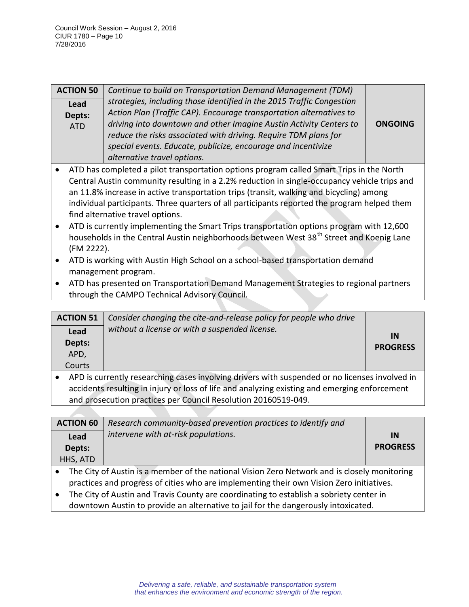Council Work Session – August 2, 2016 CIUR 1780 – Page 10 7/28/2016

| <b>ACTION 50</b> | Continue to build on Transportation Demand Management (TDM)                                                         |                |
|------------------|---------------------------------------------------------------------------------------------------------------------|----------------|
| Lead             | strategies, including those identified in the 2015 Traffic Congestion                                               |                |
| Depts:           | Action Plan (Traffic CAP). Encourage transportation alternatives to                                                 |                |
| <b>ATD</b>       | driving into downtown and other Imagine Austin Activity Centers to                                                  | <b>ONGOING</b> |
|                  | reduce the risks associated with driving. Require TDM plans for                                                     |                |
|                  | special events. Educate, publicize, encourage and incentivize                                                       |                |
|                  | alternative travel options.                                                                                         |                |
|                  | ATD has completed a pilot transportation options program called Smart Trips in the North                            |                |
|                  | Central Austin community resulting in a 2.2% reduction in single-occupancy vehicle trips and                        |                |
|                  | an 11.8% increase in active transportation trips (transit, walking and bicycling) among                             |                |
|                  | individual participants. Three quarters of all participants reported the program helped them                        |                |
|                  | find alternative travel options.                                                                                    |                |
|                  | ATD is currently implementing the Smart Trips transportation options program with 12,600                            |                |
|                  | households in the Central Austin neighborhoods between West 38 <sup>th</sup> Street and Koenig Lane                 |                |
| (FM 2222).       |                                                                                                                     |                |
|                  | ATD is working with Austin High School on a school-based transportation demand                                      |                |
|                  | management program.                                                                                                 |                |
|                  | and the contract of the contract of the contract of the contract of the contract of the contract of the contract of |                |

 ATD has presented on Transportation Demand Management Strategies to regional partners through the CAMPO Technical Advisory Council.

| <b>ACTION 51</b> | Consider changing the cite-and-release policy for people who drive |                 |
|------------------|--------------------------------------------------------------------|-----------------|
| <b>Lead</b>      | without a license or with a suspended license.                     | <b>IN</b>       |
| Depts:           |                                                                    | <b>PROGRESS</b> |
| APD,             |                                                                    |                 |
| Courts           |                                                                    |                 |

 APD is currently researching cases involving drivers with suspended or no licenses involved in accidents resulting in injury or loss of life and analyzing existing and emerging enforcement and prosecution practices per Council Resolution 20160519-049.

| <b>ACTION 60</b>                                                                                                                                                                         | Research community-based prevention practices to identify and |                 |  |  |
|------------------------------------------------------------------------------------------------------------------------------------------------------------------------------------------|---------------------------------------------------------------|-----------------|--|--|
| Lead                                                                                                                                                                                     | intervene with at-risk populations.                           | <b>IN</b>       |  |  |
| Depts:                                                                                                                                                                                   |                                                               | <b>PROGRESS</b> |  |  |
| HHS, ATD                                                                                                                                                                                 |                                                               |                 |  |  |
| The City of Austin is a member of the national Vision Zero Network and is closely monitoring<br>practices and progress of cities who are implementing their own Vision Zero initiatives. |                                                               |                 |  |  |

• The City of Austin and Travis County are coordinating to establish a sobriety center in downtown Austin to provide an alternative to jail for the dangerously intoxicated.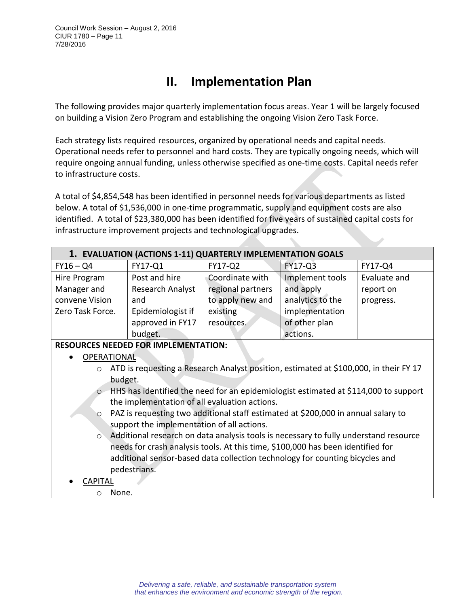# **II. Implementation Plan**

The following provides major quarterly implementation focus areas. Year 1 will be largely focused on building a Vision Zero Program and establishing the ongoing Vision Zero Task Force.

Each strategy lists required resources, organized by operational needs and capital needs. Operational needs refer to personnel and hard costs. They are typically ongoing needs, which will require ongoing annual funding, unless otherwise specified as one-time costs. Capital needs refer to infrastructure costs.

A total of \$4,854,548 has been identified in personnel needs for various departments as listed below. A total of \$1,536,000 in one-time programmatic, supply and equipment costs are also identified. A total of \$23,380,000 has been identified for five years of sustained capital costs for infrastructure improvement projects and technological upgrades.

| 1. EVALUATION (ACTIONS 1-11) QUARTERLY IMPLEMENTATION GOALS |                   |                   |                  |              |  |
|-------------------------------------------------------------|-------------------|-------------------|------------------|--------------|--|
| $FY16 - QA$                                                 | FY17-Q1           | FY17-Q2           | <b>FY17-Q3</b>   | FY17-Q4      |  |
| Hire Program                                                | Post and hire     | Coordinate with   | Implement tools  | Evaluate and |  |
| Manager and                                                 | Research Analyst  | regional partners | and apply        | report on    |  |
| convene Vision                                              | and               | to apply new and  | analytics to the | progress.    |  |
| Zero Task Force.                                            | Epidemiologist if | existing          | implementation   |              |  |
|                                                             | approved in FY17  | resources.        | of other plan    |              |  |
|                                                             | budget.           |                   | actions.         |              |  |

#### **RESOURCES NEEDED FOR IMPLEMENTATION:**

#### **OPERATIONAL**

- o ATD is requesting a Research Analyst position, estimated at \$100,000, in their FY 17 budget.
- o HHS has identified the need for an epidemiologist estimated at \$114,000 to support the implementation of all evaluation actions.
- o PAZ is requesting two additional staff estimated at \$200,000 in annual salary to support the implementation of all actions.
- $\circ$  Additional research on data analysis tools is necessary to fully understand resource needs for crash analysis tools. At this time, \$100,000 has been identified for additional sensor-based data collection technology for counting bicycles and pedestrians.

#### CAPITAL

o None.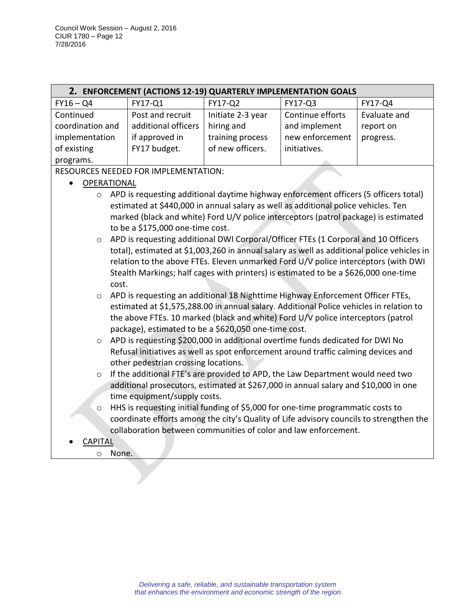| 2. ENFORCEMENT (ACTIONS 12-19) QUARTERLY IMPLEMENTATION GOALS |                     |                   |                  |              |  |
|---------------------------------------------------------------|---------------------|-------------------|------------------|--------------|--|
| $FY16 - QA$                                                   | FY17-Q1             | FY17-Q2           | FY17-Q3          | FY17-Q4      |  |
| Continued                                                     | Post and recruit    | Initiate 2-3 year | Continue efforts | Evaluate and |  |
| coordination and                                              | additional officers | hiring and        | and implement    | report on    |  |
| implementation                                                | if approved in      | training process  | new enforcement  | progress.    |  |
| of existing                                                   | FY17 budget.        | of new officers.  | initiatives.     |              |  |
| programs.                                                     |                     |                   |                  |              |  |

#### RESOURCES NEEDED FOR IMPLEMENTATION:

#### • OPERATIONAL

- $\circ$  APD is requesting additional daytime highway enforcement officers (5 officers total) estimated at \$440,000 in annual salary as well as additional police vehicles. Ten marked (black and white) Ford U/V police interceptors (patrol package) is estimated to be a \$175,000 one-time cost.
- o APD is requesting additional DWI Corporal/Officer FTEs (1 Corporal and 10 Officers total), estimated at \$1,003,260 in annual salary as well as additional police vehicles in relation to the above FTEs. Eleven unmarked Ford U/V police interceptors (with DWI Stealth Markings; half cages with printers) is estimated to be a \$626,000 one-time cost.
- $\circ$  APD is requesting an additional 18 Nighttime Highway Enforcement Officer FTEs, estimated at \$1,575,288.00 in annual salary. Additional Police vehicles in relation to the above FTEs. 10 marked (black and white) Ford U/V police interceptors (patrol package), estimated to be a \$620,050 one-time cost.
- o APD is requesting \$200,000 in additional overtime funds dedicated for DWI No Refusal initiatives as well as spot enforcement around traffic calming devices and other pedestrian crossing locations.
- $\circ$  If the additional FTE's are provided to APD, the Law Department would need two additional prosecutors, estimated at \$267,000 in annual salary and \$10,000 in one time equipment/supply costs.
- o HHS is requesting initial funding of \$5,000 for one-time programmatic costs to coordinate efforts among the city's Quality of Life advisory councils to strengthen the collaboration between communities of color and law enforcement.

#### CAPITAL

o None.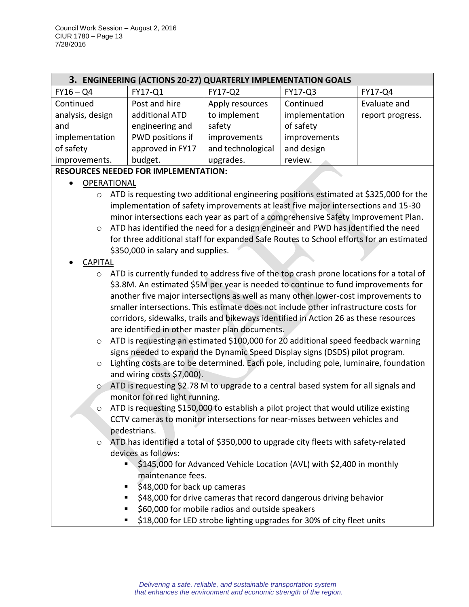| 3. ENGINEERING (ACTIONS 20-27) QUARTERLY IMPLEMENTATION GOALS |                  |                   |                |                  |  |
|---------------------------------------------------------------|------------------|-------------------|----------------|------------------|--|
| $FY16 - Q4$                                                   | FY17-Q1          | FY17-Q2           | FY17-Q3        | FY17-Q4          |  |
| Continued                                                     | Post and hire    | Apply resources   | Continued      | Evaluate and     |  |
| analysis, design                                              | additional ATD   | to implement      | implementation | report progress. |  |
| and                                                           | engineering and  | safety            | of safety      |                  |  |
| implementation                                                | PWD positions if | improvements      | improvements   |                  |  |
| of safety                                                     | approved in FY17 | and technological | and design     |                  |  |
| improvements.                                                 | budget.          | upgrades.         | review.        |                  |  |

#### **RESOURCES NEEDED FOR IMPLEMENTATION:**

#### **OPERATIONAL**

- $\circ$  ATD is requesting two additional engineering positions estimated at \$325,000 for the implementation of safety improvements at least five major intersections and 15-30 minor intersections each year as part of a comprehensive Safety Improvement Plan.
- $\circ$  ATD has identified the need for a design engineer and PWD has identified the need for three additional staff for expanded Safe Routes to School efforts for an estimated \$350,000 in salary and supplies.

### CAPITAL

- o ATD is currently funded to address five of the top crash prone locations for a total of \$3.8M. An estimated \$5M per year is needed to continue to fund improvements for another five major intersections as well as many other lower-cost improvements to smaller intersections. This estimate does not include other infrastructure costs for corridors, sidewalks, trails and bikeways identified in Action 26 as these resources are identified in other master plan documents.
- o ATD is requesting an estimated \$100,000 for 20 additional speed feedback warning signs needed to expand the Dynamic Speed Display signs (DSDS) pilot program.
- $\circ$  Lighting costs are to be determined. Each pole, including pole, luminaire, foundation and wiring costs \$7,000).
- o ATD is requesting \$2.78 M to upgrade to a central based system for all signals and monitor for red light running.
- $\circ$  ATD is requesting \$150,000 to establish a pilot project that would utilize existing CCTV cameras to monitor intersections for near-misses between vehicles and pedestrians.
- o ATD has identified a total of \$350,000 to upgrade city fleets with safety-related devices as follows:
	- $\sim$  \$145,000 for Advanced Vehicle Location (AVL) with \$2,400 in monthly maintenance fees.
	- \$48,000 for back up cameras
	- \$48,000 for drive cameras that record dangerous driving behavior
	- \$60,000 for mobile radios and outside speakers
	- \$18,000 for LED strobe lighting upgrades for 30% of city fleet units